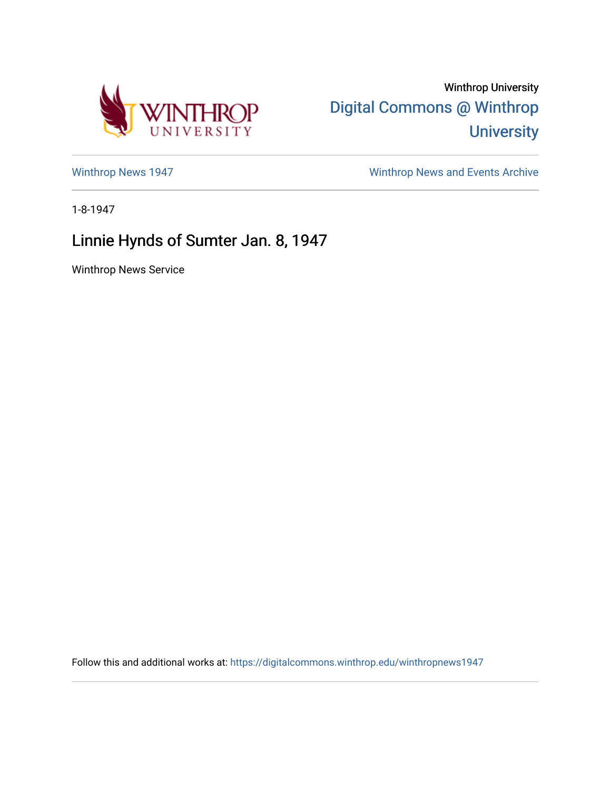

Winthrop University [Digital Commons @ Winthrop](https://digitalcommons.winthrop.edu/)  **University** 

[Winthrop News 1947](https://digitalcommons.winthrop.edu/winthropnews1947) [Winthrop News and Events Archive](https://digitalcommons.winthrop.edu/winthropnewsarchives) 

1-8-1947

## Linnie Hynds of Sumter Jan. 8, 1947

Winthrop News Service

Follow this and additional works at: [https://digitalcommons.winthrop.edu/winthropnews1947](https://digitalcommons.winthrop.edu/winthropnews1947?utm_source=digitalcommons.winthrop.edu%2Fwinthropnews1947%2F28&utm_medium=PDF&utm_campaign=PDFCoverPages)